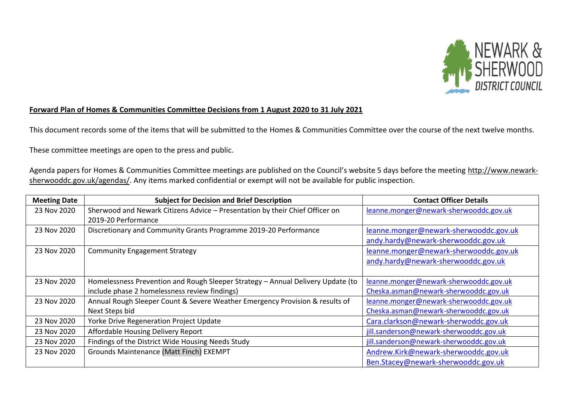

## **Forward Plan of Homes & Communities Committee Decisions from 1 August 2020 to 31 July 2021**

This document records some of the items that will be submitted to the Homes & Communities Committee over the course of the next twelve months.

These committee meetings are open to the press and public.

Agenda papers for Homes & Communities Committee meetings are published on the Council's website 5 days before the meeting [http://www.newark](http://www.newark-sherwooddc.gov.uk/agendas/)[sherwooddc.gov.uk/agendas/.](http://www.newark-sherwooddc.gov.uk/agendas/) Any items marked confidential or exempt will not be available for public inspection.

| <b>Meeting Date</b> | <b>Subject for Decision and Brief Description</b>                               | <b>Contact Officer Details</b>          |
|---------------------|---------------------------------------------------------------------------------|-----------------------------------------|
| 23 Nov 2020         | Sherwood and Newark Citizens Advice - Presentation by their Chief Officer on    | leanne.monger@newark-sherwooddc.gov.uk  |
|                     | 2019-20 Performance                                                             |                                         |
| 23 Nov 2020         | Discretionary and Community Grants Programme 2019-20 Performance                | leanne.monger@newark-sherwooddc.gov.uk  |
|                     |                                                                                 | andy.hardy@newark-sherwooddc.gov.uk     |
| 23 Nov 2020         | <b>Community Engagement Strategy</b>                                            | leanne.monger@newark-sherwooddc.gov.uk  |
|                     |                                                                                 | andy.hardy@newark-sherwooddc.gov.uk     |
|                     |                                                                                 |                                         |
| 23 Nov 2020         | Homelessness Prevention and Rough Sleeper Strategy - Annual Delivery Update (to | leanne.monger@newark-sherwooddc.gov.uk  |
|                     | include phase 2 homelessness review findings)                                   | Cheska.asman@newark-sherwooddc.gov.uk   |
| 23 Nov 2020         | Annual Rough Sleeper Count & Severe Weather Emergency Provision & results of    | leanne.monger@newark-sherwooddc.gov.uk  |
|                     | Next Steps bid                                                                  | Cheska.asman@newark-sherwooddc.gov.uk   |
| 23 Nov 2020         | Yorke Drive Regeneration Project Update                                         | Cara.clarkson@newark-sherwoddc.gov.uk   |
| 23 Nov 2020         | Affordable Housing Delivery Report                                              | jill.sanderson@newark-sherwooddc.gov.uk |
| 23 Nov 2020         | Findings of the District Wide Housing Needs Study                               | jill.sanderson@newark-sherwooddc.gov.uk |
| 23 Nov 2020         | Grounds Maintenance (Matt Finch) EXEMPT                                         | Andrew.Kirk@newark-sherwooddc.gov.uk    |
|                     |                                                                                 | Ben.Stacey@newark-sherwooddc.gov.uk     |